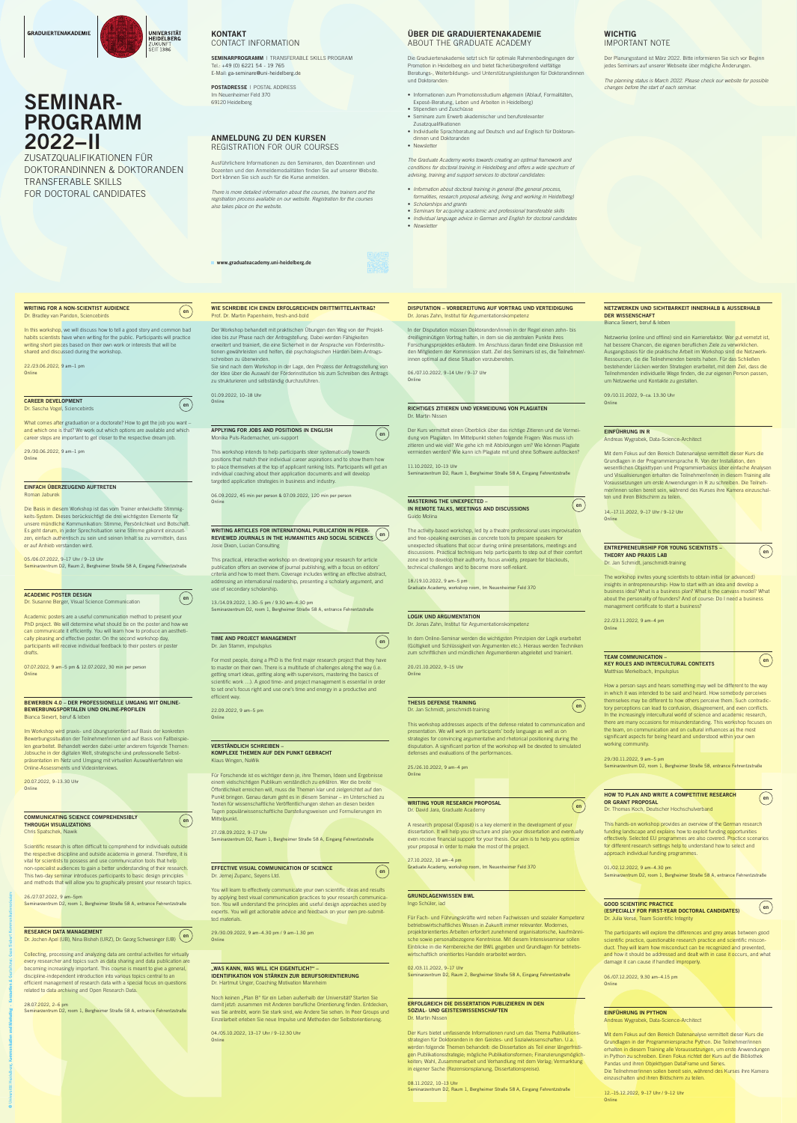

# CONTACT INFORMATION

SEMINARPROGRAMM | TRANSFERABLE SKILLS PROGRAM Tel.: +49 (0) 6221 54 - 19 765 E-Mail: ga-seminare@uni-heidelberg.de

POSTADRESSE | POSTAL ADDRESS Im Neuenheimer Feld 370 69120 Heidelberg

# ANMELDUNG ZU DEN KURSEN REGISTRATION FOR OUR COURSES

www.graduateacademy.uni-heidelberg.de

Ausführlichere Informationen zu den Seminaren, den Dozentinnen und Dozenten und den Anmeldemodalitäten finden Sie auf unserer Website. Dort können Sie sich auch für die Kurse anmelden.

CHER DIE GRADUIERTENAIR<br>
FERABLE SKILLS PROGRAM<br>
Die Graduatentandenem setzt isna für optimierale setzt in formulation<br>
Promotion in Heidelberg ein und bielel facte<br>
Persubitiges, Weiterbildtungs und Dieterstütz<br>
Lehen i Die Graduiertenakademie setzt sich für optimale Rahmenbedingungen der Promotion in Heidelberg ein und bietet fächerübergreifend vielfältige Beratungs-, Weiterbildungs- und Unterstützungsleistungen für Doktorandinnen und Doktoranden:

*There is more detailed information about the courses, the trainers and the registration process available on our website. Registration for the courses also takes place on the website.*



# ÜBER DIE GRADUIERTENAKADEMIE ABOUT THE GRADUATE ACADEMY

22./23.06.2022, 9 am–1 pm **Online** 

- Informationen zum Promotionsstudium allgemein (Ablauf, Formalitäten, Exposé-Beratung, Leben und Arbeiten in Heidelberg)
- Stipendien und Zuschüsse
- Seminare zum Erwerb akademischer und berufsrelevanter Zusatzqualifikationen
- Individuelle Sprachberatung auf Deutsch und auf Englisch für Doktorandinnen und Doktoranden
- Newsletter

29./30.06.2022, 9 am–1 pm **Online** 

*The Graduate Academy works towards creating an optimal framework and conditions for doctoral training in Heidelberg and offers a wide spectrum of advising, training and support services to doctoral candidates:*

- *Information about doctoral training in general (the general process, formalities, research proposal advising, living and working in Heidelberg)*
- *Scholarships and grants*
- *Seminars for acquiring academic and professional transferable skills*
- *Individual language advice in German and English for doctoral candidates*

SEMINAR-<br>
2022–1| Marketing ∗ Kommunikation und Marketing † 1990<br>
2022–1| Marketing ∗ Kommunikation und Marketing † 1990<br>
2022–1| Marketing • Gestaltung: Gestaltung: Gestaltung: Gesa Siebert Kommunikations<br>
2022–2023 (Com Academic posters are a useful communication method to present your PhD project. We will determine what should be on the poster and how we can communicate it efficiently. You will learn how to produce an aesthetically pleasing and effective poster. On the second workshop day, participants will receive individual feedback to their posters or poster drafts.

07.07.2022, 9 am–5 pm & 12.07.2022, 30 min per person **Online** 

• *Newsletter*

# SEMINAR-PROGRAMM 2022−II

ZUSATZQUALIFIKATIONEN FÜR DOKTORANDINNEN & DOKTORANDEN TRANSFERABLE SKILLS FOR DOCTORAL CANDIDATES

## WRITING FOR A NON-SCIENTIST AUDIENCE Dr. Bradley van Paridon, Sciencebirds

In this workshop, we will discuss how to tell a good story and common bad habits scientists have when writing for the public. Participants will practice writing short pieces based on their own work or interests that will be shared and discussed during the workshop.

20.07.2022, 9–13.30 Uhr **Online** 

CAREER DEVELOPMENT Dr. Sascha Vogel, Sciencebirds

What comes after graduation or a doctorate? How to get the job you want and which one is that? We work out which options are available and which career steps are important to get closer to the respective dream job.

**PO.07.2022, 9 and methods in which connected and connected and connected and connected and connected and connected and connected and connected and connected and the methods of the methods of the methods of the methods of** Collecting, processing and analyzing data are central activities for virtually every researcher and topics such as data sharing and data publication are becoming increasingly important. This course is meant to give a general, discipline-independent introduction into various topics central to an efficient management of research data with a special focus on questions related to data archiving and Open Research Data.

## EINFACH ÜBERZEUGEND AUFTRETEN Roman Jaburek

Die Basis in diesem Workshop ist das vom Trainer entwickelte Stimmigkeits-System. Dieses berücksichtigt die drei wichtigsten Elemente für unsere mündliche Kommunikation: Stimme, Persönlichkeit und Botschaft. Es geht darum, in jeder Sprechsituation seine Stimme gekonnt einzusetzen, einfach authentisch zu sein und seinen Inhalt so zu vermitteln, dass er auf Anhieb verstanden wird.

05./06.07.2022, 9–17 Uhr / 9–13 Uhr Seminarzentrum D2, Raum 2, Bergheimer Straße 58 A, Eingang Fehrentzstraße

#### ACADEMIC POSTER DESIGN Dr. Susanne Berger, Visual Science Communication

#### BEWERBEN 4.0 – DER PROFESSIONELLE UMGANG MIT ONLINE-BEWERBUNGSPORTALEN UND ONLINE-PROFILEN Bianca Sievert, beruf & leben

Im Workshop wird praxis- und übungsorientiert auf Basis der konkreten Bewerbungssituation der Teilnehmer/innen und auf Basis von Fallbeispielen gearbeitet. Behandelt werden dabei unter anderem folgende Themen: Jobsuche in der digitalen Welt, strategische und professionelle Selbstpräsentation im Netz und Umgang mit virtuellen Auswahlverfahren wie Online-Assessments und Videointerviews.

**PERIOD MANUSCRIPS AND CONTRACT CONTRACT CONTRACT CONTRACT CONTRACT CONTRACT CONTRACT CONTRACT CONTRACT CONTRACT CONTRACT CONTRACT CONTRACT CONTRACT CONTRACT CONTRACT CONTRACT CONTRACT CONTRACT CONTRACT CONTRACT CONTRAC** Für Forschende ist es wichtiger denn je, ihre Themen, Ideen und Ergebnisse einem vielschichtigen Publikum verständlich zu erklären. Wer die breite Öffentlichkeit erreichen will, muss die Themen klar und zielgerichtet auf den Punkt bringen. Genau darum geht es in diesem Seminar – im Unterschied zu Texten für wissenschaftliche Veröffentlichungen stehen an diesen beiden Tagen populärwissenschaftliche Darstellungsweisen und Formulierungen im Mittelpunkt.

#### COMMUNICATING SCIENCE COMPREHENSIBLY THROUGH VISUALIZATIONS Chris Spatschek, Nawik

You will learn to effectively communicate your own scientific ideas and results by applying best visual communication practices to your research communication. You will understand the principles and useful design approaches used by experts. You will get actionable advice and feedback on your own pre-submitted materials.

# "WAS KANN, WAS WILL ICH EIGENTLICH?" -IDENTIFIKATION VON STÄRKEN ZUR BERUFSORIENTIERUNG

Scientific research is often difficult to comprehend for individuals outside the respective discipline and outside academia in general. Therefore, it is vital for scientists to possess and use communication tools that help non-specialist audiences to gain a better understanding of their research. This two-day seminar introduces participants to basic design principles and methods that will allow you to graphically present your research topics.

> Noch keinen "Plan B" für ein Leben außerhalb der Universität? Starten Sie damit jetzt: zusammen mit Anderen berufliche Orientierung finden. Entdecken, was Sie antreibt, worin Sie stark sind, wie Andere Sie sehen. In Peer Groups und Einzelarbeit erleben Sie neue Impulse und Methoden der Selbstorientierung.

26./27.07.2022, 9 am–5pm Seminarzentrum D2, room 1, Bergheimer Straße 58 A, entrance Fehrentzstraße

#### RESEARCH DATA MANAGEMENT

n Bobanon Dara Manademen<br>Dr. Jochen Apel (UB), Nina Bisheh (URZ), Dr. Georg Schwesinger (UB)

28.07.2022, 2–6 pm Seminarzentrum D2, room 1, Bergheimer Straße 58 A, entrance Fehrentzstraße

# WIE SCHREIBE ICH EINEN ERFOLGREICHEN DRITTMITTELANTRAG? Prof. Dr. Martin Papenheim, fresh-and-bold

Der Workshop behandelt mit praktischen Übungen den Weg von der Projektidee bis zur Phase nach der Antragstellung. Dabei werden Fähigkeiten erweitert und trainiert, die eine Sicherheit in der Ansprache von Förderinstitutionen gewährleisten und helfen, die psychologischen Hürden beim Antragsschreiben zu überwinden.

Sie sind nach dem Workshop in der Lage, den Prozess der Antragsstellung von der Idee über die Auswahl der Förderinstitution bis zum Schreiben des Antrags zu strukturieren und selbständig durchzuführen.

> Für Fach- und Führungskräfte wird neben Fachwissen und sozialer Kompetenz betriebswirtschaftliches Wissen in Zukunft immer relevanter. Modernes, projektorientiertes Arbeiten erfordert zunehmend organisatorische, kaufmännische sowie personalbezogene Kenntnisse. Mit diesem Intensivseminar sollen Einblicke in die Kernbereiche der BWL gegeben und Grundlagen für betriebswirtschaftlich orientiertes Handeln erarbeitet werden.

01.09.2022, 10–18 Uhr Online

 $($  en  $)$ 

 $($  en  $)$ 

### APPLYING FOR JOBS AND POSITIONS IN ENGLISH Monika Puls-Rademacher, uni-support

This workshop intends to help participants steer systematically towards positions that match their individual career aspirations and to show them how to place themselves at the top of applicant ranking lists. Participants will get an individual coaching about their application documents and will develop targeted application strategies in business and industry.

06.09.2022, 45 min per person & 07.09.2022, 120 min per person Online

#### WRITING ARTICLES FOR INTERNATIONAL PUBLICATION IN PEER-REVIEWED JOURNALS IN THE HUMANITIES AND SOCIAL SCIENCES Josie Dixon, Lucian Consulting

This practical, interactive workshop on developing your research for article publication offers an overview of journal publishing, with a focus on editors' criteria and how to meet them. Coverage includes writing an effective abstract, addressing an international readership, presenting a scholarly argument, and use of secondary scholarship.

## 13./14.09.2022, 1.30–5 pm / 9.30 am–4.30 pm

Seminarzentrum D2, room 1, Bergheimer Straße 58 A, entrance Fehrentzstraße

# TIME AND PROJECT MANAGEMENT Dr. Jan Stamm, impulsplus

For most people, doing a PhD is the first major research project that they have to master on their own. There is a multitude of challenges along the way (i.e. getting smart ideas, getting along with supervisors, mastering the basics of scientific work …). A good time- and project management is essential in order to set one's focus right and use one's time and energy in a productive and efficient way.

22.09.2022, 9 am–5 pm Online

#### VERSTÄNDLICH SCHREIBEN –

**MONEY CONTRACT NOTE THE CONTRACT INTERFERING CONTRACT AND CONTRACT INTO A CONTRACT INTO A CONTRACT INTO A CONTRACT INTO A CONTRACT INTO A CONTRACT INTO A CONTRACT INTO A CONTRACT INTO A CONTRACT INTO A CONTRACT INTO A CO** How a person says and hears something may well be different to the way in which it was intended to be said and heard. How somebody perceives themselves may be different to how others perceive them. Such contradictory perceptions can lead to confusion, disagreement, and even conflicts. In the increasingly intercultural world of science and academic research, there are many occasions for misunderstanding. This workshop focuses on the team, on communication and on cultural influences as the most significant aspects for being heard and understood within your own working community.

KOMPLEXE THEMEN AUF DEN PUNKT GEBRACHT Klaus Wingen, NaWik

> 06./07.12.2022, 9.30 am–4.15 pm **Online**

27./28.09.2022, 9–17 Uhr Seminarzentrum D2, Raum 1, Bergheimer Straße 58 A, Eingang Fehrentzstraße

# EFFECTIVE VISUAL COMMUNICATION OF SCIENCE

Dr. Jernej Zupanc, Seyens Ltd.

**Example 18 ARAN AND WRITE A COMPETITIVE RESEARCH<br>
OR CRAM PROPOSAL<br>
DE Thomas Koch, Deutscher Hochechulwethand<br>
This hands on workshop provides an overview of the German research<br>
Law<br>
22<br>
22<br>
22<br>
22<br>
22<br>
22<br>
22<br>
22<br>
22<br>** Mit dem Fokus auf den Bereich Datenanalyse vermittelt dieser Kurs die Grundlagen in der Programmiersprache Python. Die Teilnehmer/innen erhalten in diesem Training alle Voraussetzungen, um erste Anwendungen in Python zu schreiben. Einen Fokus richtet der Kurs auf die Bibliothek Pandas und ihren Objekttypen DataFrame und Series. Die Teilnehmer/innen sollen bereit sein, während des Kurses ihre Kamera einzuschalten und ihren Bildschirm zu teilen.

# **WICHTIG** IMPORTANT NOTE

29./30.09.2022, 9 am–4.30 pm / 9 am–1.30 pm Online

Dr. Hartmut Unger, Coaching Motivation Mannheim

04./05.10.2022, 13–17 Uhr / 9–12.30 Uhr Online

DISPUTATION – VORBEREITUNG AUF VORTRAG UND VERTEIDIGUNG

Dr. Jonas Zahn, Institut für Argumentationskompetenz

In der Disputation müssen Doktoranden/innen in der Regel einen zehn- bis dreißigminütigen Vortrag halten, in dem sie die zentralen Punkte ihres Forschungsprojektes erläutern. Im Anschluss daran findet eine Diskussion mit den Mitgliedern der Kommission statt. Ziel des Seminars ist es, die Teilnehmer/-

innen optimal auf diese Situation vorzubereiten.

06./07.10.2022, 9–14 Uhr / 9–17 Uhr

**Online** 

 $($  en  $)$ 

 $($  en  $)$ 

 $($  en  $)$ 

RICHTIGES ZITIEREN UND VERMEIDUNG VON PLAGIATEN

Dr. Martin Nissen

Der Kurs vermittelt einen Überblick über das richtige Zitieren und die Vermeidung von Plagiaten. Im Mittelpunkt stehen folgende Fragen: Was muss ich zitieren und wie viel? Wie gehe ich mit Abbildungen um? Wie können Plagiate vermieden werden? Wie kann ich Plagiate mit und ohne Software aufdecken?

11.10.2022, 10–13 Uhr

Seminarzentrum D2, Raum 1, Bergheimer Straße 58 A, Eingang Fehrentzstraße

MASTERING THE UNEXPECTED –

IN REMOTE TALKS, MEETINGS AND DISCUSSIONS

Guido Molina

The activity-based workshop, led by a theatre professional uses improvisation and free-speaking exercises as concrete tools to prepare speakers for unexpected situations that occur during online presentations, meetings and discussions. Practical techniques help participants to step out of their comfort zone and to develop their authority, focus anxiety, prepare for blackouts,

technical challenges and to become more self-reliant.

18./19.10.2022, 9 am–5 pm

Graduate Academy, workshop room, Im Neuenheimer Feld 370

# LOGIK UND ARGUMENTATION

Dr. Jonas Zahn, Institut für Argumentationskompetenz

In dem Online-Seminar werden die wichtigsten Prinzipien der Logik erarbeitet (Gültigkeit und Schlüssigkeit von Argumenten etc.). Hieraus werden Techniken zum schriftlichen und mündlichen Argumentieren abgeleitet und trainiert.

20./21.10.2022, 9–15 Uhr Online

# THESIS DEFENSE TRAINING

Dr. Jan Schmidt, janschmidt-training

This workshop addresses aspects of the defense related to communication and presentation. We will work on participants' body language as well as on strategies for convincing argumentative and rhetorical positioning during the disputation. A significant portion of the workshop will be devoted to simulated defenses and evaluations of the performances.

25./26.10.2022, 9 am–4 pm Online

WRITING YOUR RESEARCH PROPOSAL Dr. David Jara, Graduate Academy

A research proposal (Exposé) is a key element in the development of your dissertation. It will help you structure and plan your dissertation and eventually even receive financial support for your thesis. Our aim is to help you optimize your proposal in order to make the most of the project.

27.10.2022, 10 am–4 pm Graduate Academy, workshop room, Im Neuenheimer Feld 370

# GRUNDLAGENWISSEN BWL

Ingo Schüler, iad

02./03.11.2022, 9–17 Uhr Seminarzentrum D2, Raum 2, Bergheimer Straße 58 A, Eingang Fehrentzstraße

### ERFOLGREICH DIE DISSERTATION PUBLIZIEREN IN DEN SOZIAL- UND GEISTESWISSENSCHAFTEN Dr. Martin Nissen

Der Kurs bietet umfassende Informationen rund um das Thema Publikationsstrategien für Doktoranden in den Geistes- und Sozialwissenschaften. U.a. werden folgende Themen behandelt: die Dissertation als Teil einer längerfristigen Publikationsstrategie; mögliche Publikationsformen; Finanzierungsmöglichkeiten; Wahl, Zusammenarbeit und Verhandlung mit dem Verlag; Vermarktung in eigener Sache (Rezensionsplanung, Dissertationspreise).

08.11.2022, 10–13 Uhr Seminarzentrum D2, Raum 1, Bergheimer Straße 58 A, Eingang Fehrentzstraße

# NETZWERKEN UND SICHTBARKEIT INNERHALB & AUSSERHALB DER WISSENSCHAFT

Bianca Sievert, beruf & leben

Netzwerke (online und offline) sind ein Karrierefaktor. Wer gut vernetzt ist, hat bessere Chancen, die eigenen beruflichen Ziele zu verwirklichen. Ausgangsbasis für die praktische Arbeit im Workshop sind die Netzwerk-Ressourcen, die die Teilnehmenden bereits haben. Für das Schließen bestehender Lücken werden Strategien erarbeitet, mit dem Ziel, dass die Teilnehmenden individuelle Wege finden, die zur eigenen Person passen, um Netzwerke und Kontakte zu gestalten.

09./10.11.2022, 9–ca. 13.30 Uhr Online

# EINFÜHRUNG IN R

Andreas Wygrabek, Data-Science-Architect

Mit dem Fokus auf den Bereich Datenanalyse vermittelt dieser Kurs die Grundlagen in der Programmiersprache R. Von der Installation, den wesentlichen Objekttypen und Programmierbasics über einfache Analysen und Visualisierungen erhalten die Teilnehmer/innen in diesem Training alle Voraussetzungen um erste Anwendungen in R zu schreiben. Die Teilnehmer/innen sollen bereit sein, während des Kurses ihre Kamera einzuschalten und ihren Bildschirm zu teilen.

14.–17.11.2022, 9–17 Uhr / 9–12 Uhr Online

 $($  en  $)$ 

 $($  en  $)$ 

 $($  en  $)$ 

ENTREPRENEURSHIP FOR YOUNG SCIENTISTS – THEORY AND PRAXIS LAB Dr. Jan Schmidt, janschmidt-training

The workshop invites young scientists to obtain initial (or advanced) insights in entrepreneurship: How to start with an idea and develop a business idea? What is a business plan? What is the canvass model? What about the personality of founders? And of course: Do I need a business management certificate to start a business?



22./23.11.2022, 9 am–4 pm Online

#### TEAM COMMUNICATION – KEY ROLES AND INTERCULTURAL CONTEXTS Matthias Merkelbach, Impulsplus

29./30.11.2022, 9 am–5 pm Seminarzentrum D2, room 1, Bergheimer Straße 58, entrance Fehrentzstraße

#### HOW TO PLAN AND WRITE A COMPETITIVE RESEARCH OR GRANT PROPOSAL Dr. Thomas Koch, Deutscher Hochschulverband

This hands-on workshop provides an overview of the German research funding landscape and explains how to exploit funding opportunities effectively. Selected EU programmes are also covered. Practice scenarios for different research settings help to understand how to select and approach individual funding programmes.

01./02.12.2022, 9 am–4.30 pm Seminarzentrum D2, room 1, Bergheimer Straße 58 A, entrance Fehrentzstraße

## GOOD SCIENTIFIC PRACTICE (ESPECIALLY FOR FIRST-YEAR DOCTORAL CANDIDATES) Dr. Julia Verse, Team Scientific Integrity

The participants will explore the differences and grey areas between good scientific practice, questionable research practice and scientific misconduct. They will learn how misconduct can be recognized and prevented, and how it should be addressed and dealt with in case it occurs, and what damage it can cause if handled improperly.

### EINFÜHRUNG IN PYTHON Andreas Wygrabek, Data-Science-Architect

12.–15.12.2022, 9–17 Uhr / 9–12 Uhr Online

Der Planungsstand ist März 2022. Bitte informieren Sie sich vor Beginn jedes Seminars auf unserer Webseite über mögliche Änderungen.

*The planning status is March 2022. Please check our website for possible changes before the start of each seminar.*

en

 $($  en  $)$ 

en

 $($  en  $)$ 

en

en